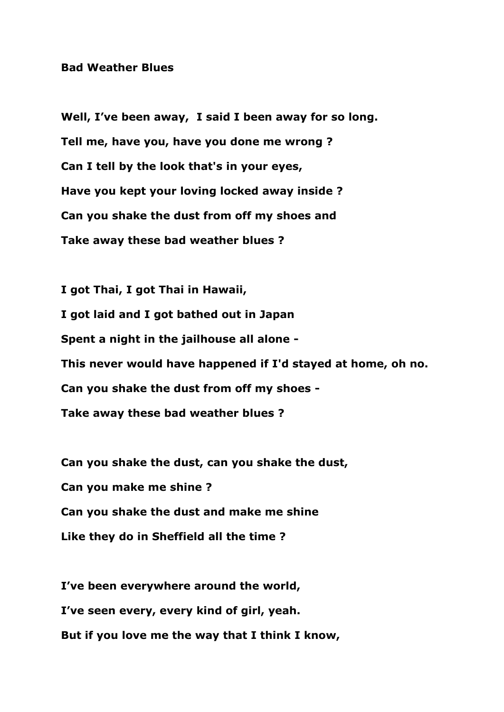## **Bad Weather Blues**

**Well, I've been away, I said I been away for so long. Tell me, have you, have you done me wrong ? Can I tell by the look that's in your eyes, Have you kept your loving locked away inside ? Can you shake the dust from off my shoes and Take away these bad weather blues ?**

**I got Thai, I got Thai in Hawaii, I got laid and I got bathed out in Japan Spent a night in the jailhouse all alone - This never would have happened if I'd stayed at home, oh no. Can you shake the dust from off my shoes - Take away these bad weather blues ?**

**Can you shake the dust, can you shake the dust, Can you make me shine ? Can you shake the dust and make me shine Like they do in Sheffield all the time ?**

**I've been everywhere around the world, I've seen every, every kind of girl, yeah. But if you love me the way that I think I know,**